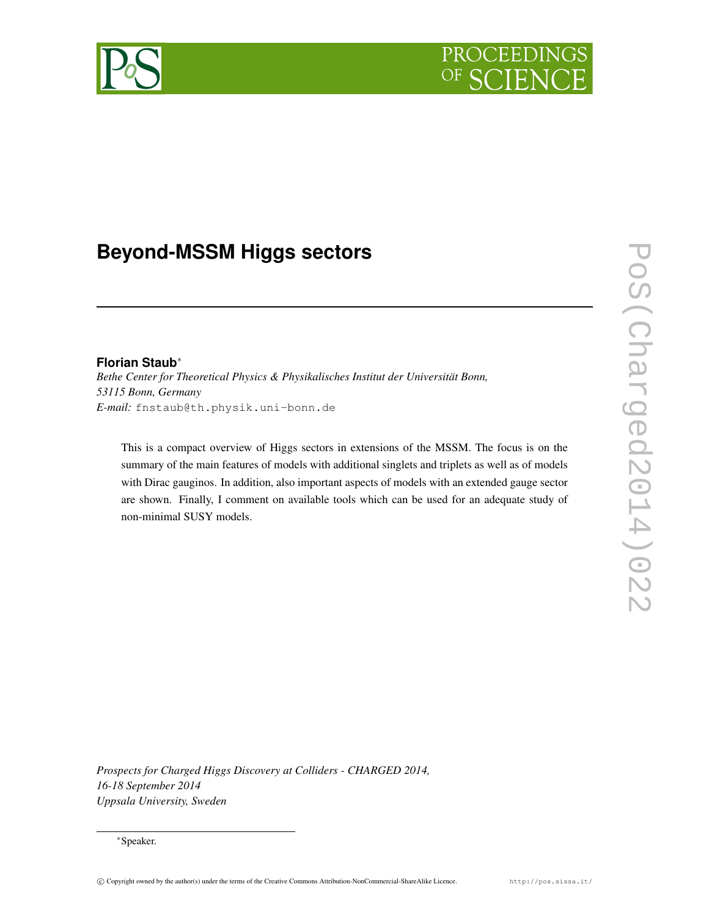# PROCEEDIN OF

## **Beyond-MSSM Higgs sectors**

## **Florian Staub**∗

*Bethe Center for Theoretical Physics & Physikalisches Institut der Universität Bonn, 53115 Bonn, Germany E-mail:* fnstaub@th.physik.uni-bonn.de

This is a compact overview of Higgs sectors in extensions of the MSSM. The focus is on the summary of the main features of models with additional singlets and triplets as well as of models with Dirac gauginos. In addition, also important aspects of models with an extended gauge sector are shown. Finally, I comment on available tools which can be used for an adequate study of non-minimal SUSY models.

*Prospects for Charged Higgs Discovery at Colliders - CHARGED 2014, 16-18 September 2014 Uppsala University, Sweden*



<sup>∗</sup>Speaker.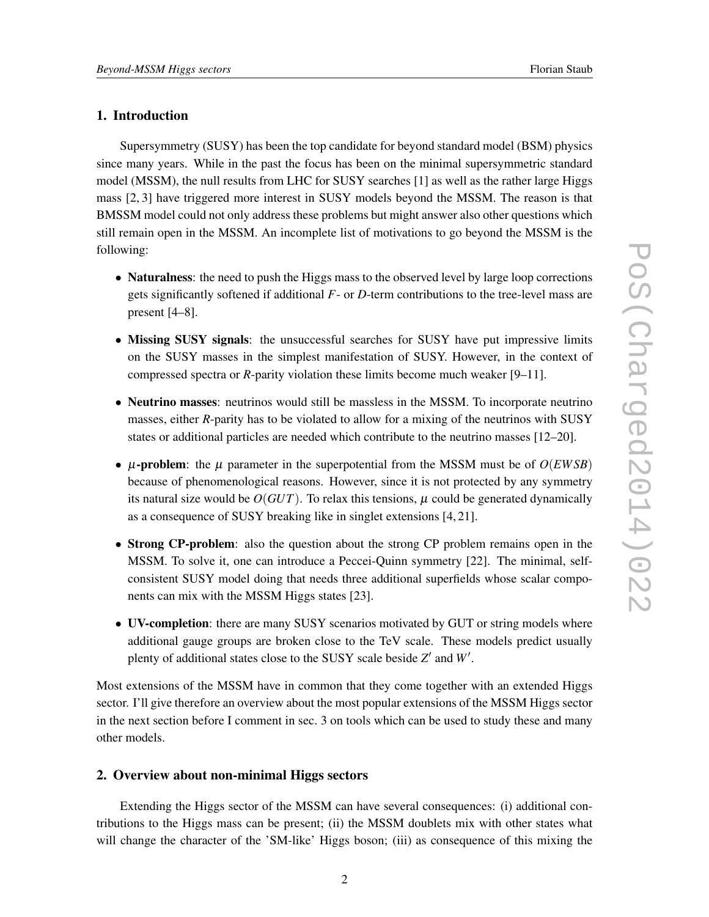## 1. Introduction

Supersymmetry (SUSY) has been the top candidate for beyond standard model (BSM) physics since many years. While in the past the focus has been on the minimal supersymmetric standard model (MSSM), the null results from LHC for SUSY searches [1] as well as the rather large Higgs mass [2, 3] have triggered more interest in SUSY models beyond the MSSM. The reason is that BMSSM model could not only address these problems but might answer also other questions which still remain open in the MSSM. An incomplete list of motivations to go beyond the MSSM is the following:

- Naturalness: the need to push the Higgs mass to the observed level by large loop corrections gets significantly softened if additional *F*- or *D*-term contributions to the tree-level mass are present [4–8].
- Missing SUSY signals: the unsuccessful searches for SUSY have put impressive limits on the SUSY masses in the simplest manifestation of SUSY. However, in the context of compressed spectra or *R*-parity violation these limits become much weaker [9–11].
- Neutrino masses: neutrinos would still be massless in the MSSM. To incorporate neutrino masses, either *R*-parity has to be violated to allow for a mixing of the neutrinos with SUSY states or additional particles are needed which contribute to the neutrino masses [12–20].
- $\mu$ -problem: the  $\mu$  parameter in the superpotential from the MSSM must be of  $O(EWSB)$ because of phenomenological reasons. However, since it is not protected by any symmetry its natural size would be  $O(GUT)$ . To relax this tensions,  $\mu$  could be generated dynamically as a consequence of SUSY breaking like in singlet extensions [4, 21].
- Strong CP-problem: also the question about the strong CP problem remains open in the MSSM. To solve it, one can introduce a Peccei-Quinn symmetry [22]. The minimal, selfconsistent SUSY model doing that needs three additional superfields whose scalar components can mix with the MSSM Higgs states [23].
- UV-completion: there are many SUSY scenarios motivated by GUT or string models where additional gauge groups are broken close to the TeV scale. These models predict usually plenty of additional states close to the SUSY scale beside *Z'* and *W'*.

Most extensions of the MSSM have in common that they come together with an extended Higgs sector. I'll give therefore an overview about the most popular extensions of the MSSM Higgs sector in the next section before I comment in sec. 3 on tools which can be used to study these and many other models.

#### 2. Overview about non-minimal Higgs sectors

Extending the Higgs sector of the MSSM can have several consequences: (i) additional contributions to the Higgs mass can be present; (ii) the MSSM doublets mix with other states what will change the character of the 'SM-like' Higgs boson; (iii) as consequence of this mixing the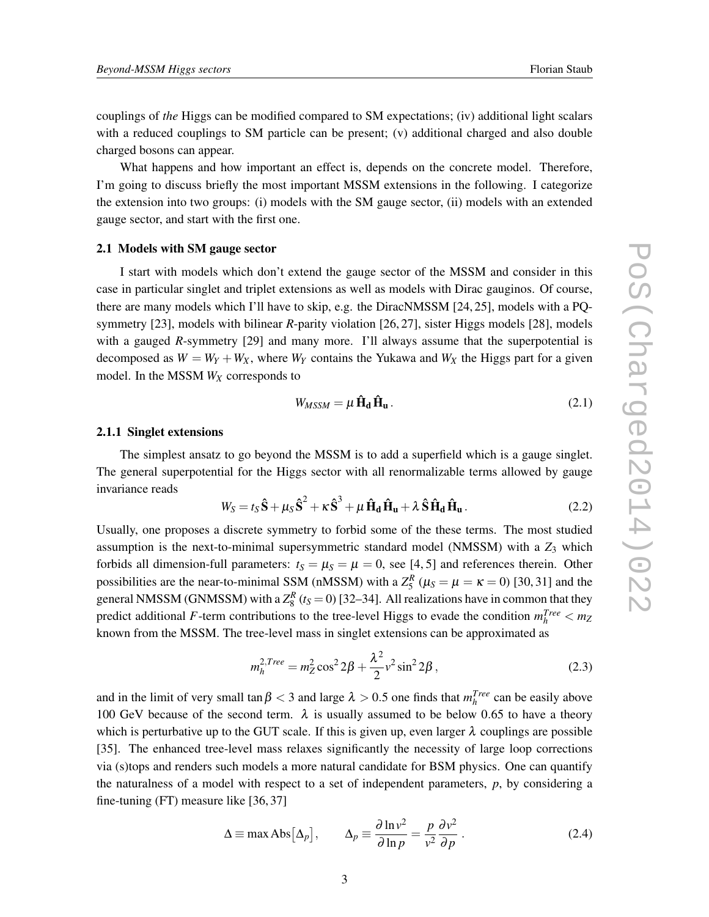couplings of *the* Higgs can be modified compared to SM expectations; (iv) additional light scalars with a reduced couplings to SM particle can be present; (v) additional charged and also double charged bosons can appear.

What happens and how important an effect is, depends on the concrete model. Therefore, I'm going to discuss briefly the most important MSSM extensions in the following. I categorize the extension into two groups: (i) models with the SM gauge sector, (ii) models with an extended gauge sector, and start with the first one.

#### 2.1 Models with SM gauge sector

I start with models which don't extend the gauge sector of the MSSM and consider in this case in particular singlet and triplet extensions as well as models with Dirac gauginos. Of course, there are many models which I'll have to skip, e.g. the DiracNMSSM [24, 25], models with a PQsymmetry [23], models with bilinear *R*-parity violation [26, 27], sister Higgs models [28], models with a gauged *R*-symmetry [29] and many more. I'll always assume that the superpotential is decomposed as  $W = W_Y + W_X$ , where  $W_Y$  contains the Yukawa and  $W_X$  the Higgs part for a given model. In the MSSM *W<sup>X</sup>* corresponds to

$$
W_{MSSM} = \mu \,\hat{\mathbf{H}}_{\mathbf{d}} \,\hat{\mathbf{H}}_{\mathbf{u}}\,. \tag{2.1}
$$

#### 2.1.1 Singlet extensions

The simplest ansatz to go beyond the MSSM is to add a superfield which is a gauge singlet. The general superpotential for the Higgs sector with all renormalizable terms allowed by gauge invariance reads

$$
W_S = t_S \hat{\mathbf{S}} + \mu_S \hat{\mathbf{S}}^2 + \kappa \hat{\mathbf{S}}^3 + \mu \, \hat{\mathbf{H}}_{\mathbf{d}} \, \hat{\mathbf{H}}_{\mathbf{u}} + \lambda \, \hat{\mathbf{S}} \, \hat{\mathbf{H}}_{\mathbf{d}} \, \hat{\mathbf{H}}_{\mathbf{u}} \,. \tag{2.2}
$$

Usually, one proposes a discrete symmetry to forbid some of the these terms. The most studied assumption is the next-to-minimal supersymmetric standard model (NMSSM) with a *Z*<sup>3</sup> which forbids all dimension-full parameters:  $t_s = \mu_s = \mu = 0$ , see [4, 5] and references therein. Other possibilities are the near-to-minimal SSM (nMSSM) with a  $Z_5^R$  ( $\mu_S = \mu = \kappa = 0$ ) [30, 31] and the general NMSSM (GNMSSM) with a  $Z_8^R$  ( $t_S = 0$ ) [32–34]. All realizations have in common that they predict additional *F*-term contributions to the tree-level Higgs to evade the condition  $m_h^{Tree} < m_Z$ known from the MSSM. The tree-level mass in singlet extensions can be approximated as

$$
m_h^{2,Tree} = m_Z^2 \cos^2 2\beta + \frac{\lambda^2}{2} v^2 \sin^2 2\beta \,,
$$
 (2.3)

and in the limit of very small  $\tan \beta < 3$  and large  $\lambda > 0.5$  one finds that  $m_h^{Tree}$  can be easily above 100 GeV because of the second term.  $\lambda$  is usually assumed to be below 0.65 to have a theory which is perturbative up to the GUT scale. If this is given up, even larger  $\lambda$  couplings are possible [35]. The enhanced tree-level mass relaxes significantly the necessity of large loop corrections via (s)tops and renders such models a more natural candidate for BSM physics. One can quantify the naturalness of a model with respect to a set of independent parameters, *p*, by considering a fine-tuning (FT) measure like [36, 37]

$$
\Delta \equiv \max \text{Abs} \left[ \Delta_p \right], \qquad \Delta_p \equiv \frac{\partial \ln v^2}{\partial \ln p} = \frac{p}{v^2} \frac{\partial v^2}{\partial p} \,. \tag{2.4}
$$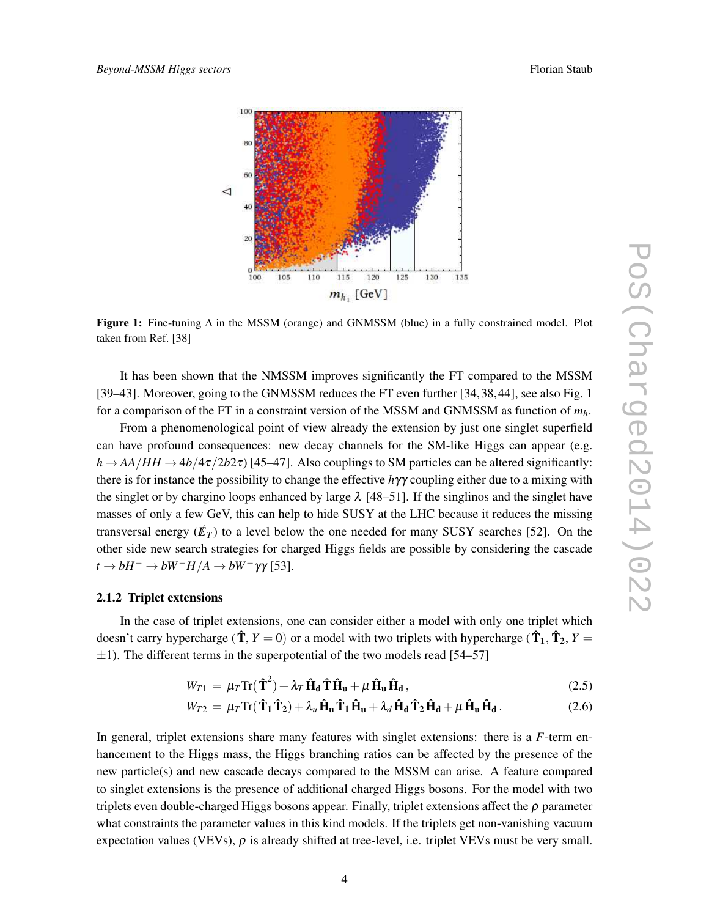

Figure 1: Fine-tuning ∆ in the MSSM (orange) and GNMSSM (blue) in a fully constrained model. Plot taken from Ref. [38]

It has been shown that the NMSSM improves significantly the FT compared to the MSSM [39–43]. Moreover, going to the GNMSSM reduces the FT even further [34,38,44], see also Fig. 1 for a comparison of the FT in a constraint version of the MSSM and GNMSSM as function of *mh*.

From a phenomenological point of view already the extension by just one singlet superfield can have profound consequences: new decay channels for the SM-like Higgs can appear (e.g.  $h \rightarrow AA/HH \rightarrow 4b/4\tau/2b2\tau$  [45–47]. Also couplings to SM particles can be altered significantly: there is for instance the possibility to change the effective *h*γγ coupling either due to a mixing with the singlet or by chargino loops enhanced by large  $\lambda$  [48–51]. If the singlinos and the singlet have masses of only a few GeV, this can help to hide SUSY at the LHC because it reduces the missing transversal energy  $(\not\!E_T)$  to a level below the one needed for many SUSY searches [52]. On the other side new search strategies for charged Higgs fields are possible by considering the cascade  $t \rightarrow bH^{-} \rightarrow bW^{-}H/A \rightarrow bW^{-}\gamma\gamma$  [53].

#### 2.1.2 Triplet extensions

In the case of triplet extensions, one can consider either a model with only one triplet which doesn't carry hypercharge ( $\mathbf{\hat{T}}$ ,  $Y = 0$ ) or a model with two triplets with hypercharge ( $\mathbf{\hat{T}_1}, \mathbf{\hat{T}_2}, Y =$  $\pm$ 1). The different terms in the superpotential of the two models read [54–57]

$$
W_{T1} = \mu_T \text{Tr}(\hat{\mathbf{T}}^2) + \lambda_T \hat{\mathbf{H}}_{\mathbf{d}} \hat{\mathbf{T}} \hat{\mathbf{H}}_{\mathbf{u}} + \mu \hat{\mathbf{H}}_{\mathbf{u}} \hat{\mathbf{H}}_{\mathbf{d}} ,
$$
 (2.5)

$$
W_{T2} = \mu_T \text{Tr}(\hat{\mathbf{T}}_1 \hat{\mathbf{T}}_2) + \lambda_u \hat{\mathbf{H}}_u \hat{\mathbf{T}}_1 \hat{\mathbf{H}}_u + \lambda_d \hat{\mathbf{H}}_d \hat{\mathbf{T}}_2 \hat{\mathbf{H}}_d + \mu \hat{\mathbf{H}}_u \hat{\mathbf{H}}_d.
$$
 (2.6)

In general, triplet extensions share many features with singlet extensions: there is a *F*-term enhancement to the Higgs mass, the Higgs branching ratios can be affected by the presence of the new particle(s) and new cascade decays compared to the MSSM can arise. A feature compared to singlet extensions is the presence of additional charged Higgs bosons. For the model with two triplets even double-charged Higgs bosons appear. Finally, triplet extensions affect the  $\rho$  parameter what constraints the parameter values in this kind models. If the triplets get non-vanishing vacuum expectation values (VEVs),  $\rho$  is already shifted at tree-level, i.e. triplet VEVs must be very small.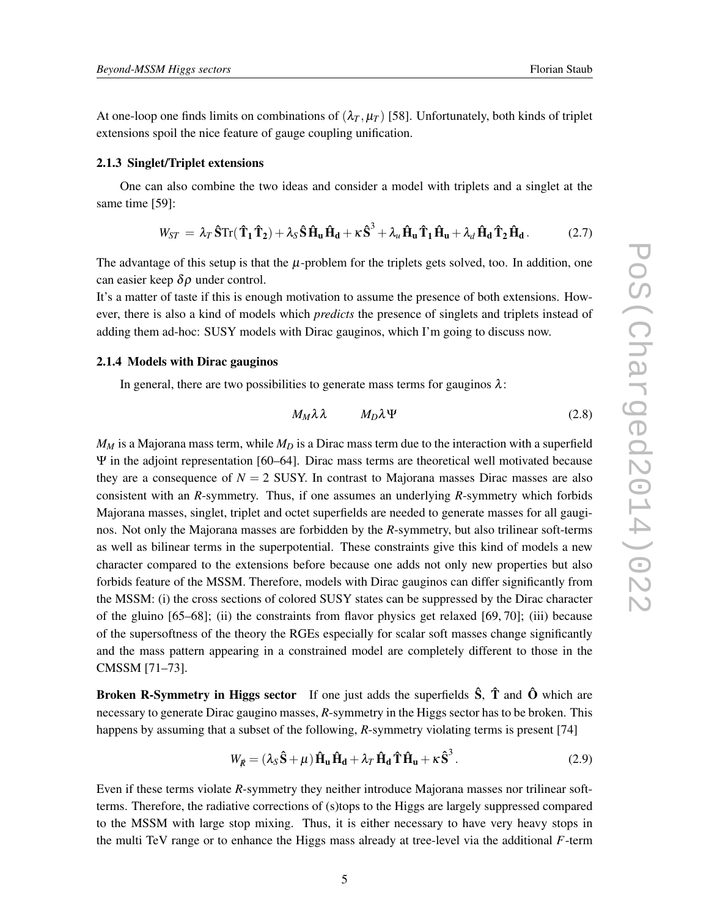At one-loop one finds limits on combinations of  $(\lambda_T, \mu_T)$  [58]. Unfortunately, both kinds of triplet extensions spoil the nice feature of gauge coupling unification.

#### 2.1.3 Singlet/Triplet extensions

One can also combine the two ideas and consider a model with triplets and a singlet at the same time [59]:

$$
W_{ST} = \lambda_T \hat{\mathbf{S}} \text{Tr}(\hat{\mathbf{T}}_1 \hat{\mathbf{T}}_2) + \lambda_S \hat{\mathbf{S}} \hat{\mathbf{H}}_u \hat{\mathbf{H}}_d + \kappa \hat{\mathbf{S}}^3 + \lambda_u \hat{\mathbf{H}}_u \hat{\mathbf{T}}_1 \hat{\mathbf{H}}_u + \lambda_d \hat{\mathbf{H}}_d \hat{\mathbf{T}}_2 \hat{\mathbf{H}}_d. \tag{2.7}
$$

The advantage of this setup is that the  $\mu$ -problem for the triplets gets solved, too. In addition, one can easier keep  $\delta \rho$  under control.

It's a matter of taste if this is enough motivation to assume the presence of both extensions. However, there is also a kind of models which *predicts* the presence of singlets and triplets instead of adding them ad-hoc: SUSY models with Dirac gauginos, which I'm going to discuss now.

#### 2.1.4 Models with Dirac gauginos

In general, there are two possibilities to generate mass terms for gauginos  $\lambda$ :

$$
M_M \lambda \lambda \qquad M_D \lambda \Psi \qquad (2.8)
$$

 $M_M$  is a Majorana mass term, while  $M_D$  is a Dirac mass term due to the interaction with a superfield Ψ in the adjoint representation [60–64]. Dirac mass terms are theoretical well motivated because they are a consequence of  $N = 2$  SUSY. In contrast to Majorana masses Dirac masses are also consistent with an *R*-symmetry. Thus, if one assumes an underlying *R*-symmetry which forbids Majorana masses, singlet, triplet and octet superfields are needed to generate masses for all gauginos. Not only the Majorana masses are forbidden by the *R*-symmetry, but also trilinear soft-terms as well as bilinear terms in the superpotential. These constraints give this kind of models a new character compared to the extensions before because one adds not only new properties but also forbids feature of the MSSM. Therefore, models with Dirac gauginos can differ significantly from the MSSM: (i) the cross sections of colored SUSY states can be suppressed by the Dirac character of the gluino [65–68]; (ii) the constraints from flavor physics get relaxed [69, 70]; (iii) because of the supersoftness of the theory the RGEs especially for scalar soft masses change significantly and the mass pattern appearing in a constrained model are completely different to those in the CMSSM [71–73].

**Broken R-Symmetry in Higgs sector** If one just adds the superfields  $\hat{S}$ ,  $\hat{T}$  and  $\hat{O}$  which are necessary to generate Dirac gaugino masses, *R*-symmetry in the Higgs sector has to be broken. This happens by assuming that a subset of the following, *R*-symmetry violating terms is present [74]

$$
W_{\vec{\mathbf{R}}} = (\lambda_S \hat{\mathbf{S}} + \mu) \hat{\mathbf{H}}_{\mathbf{u}} \hat{\mathbf{H}}_{\mathbf{d}} + \lambda_T \hat{\mathbf{H}}_{\mathbf{d}} \hat{\mathbf{T}} \hat{\mathbf{H}}_{\mathbf{u}} + \kappa \hat{\mathbf{S}}^3.
$$
 (2.9)

Even if these terms violate *R*-symmetry they neither introduce Majorana masses nor trilinear softterms. Therefore, the radiative corrections of (s)tops to the Higgs are largely suppressed compared to the MSSM with large stop mixing. Thus, it is either necessary to have very heavy stops in the multi TeV range or to enhance the Higgs mass already at tree-level via the additional *F*-term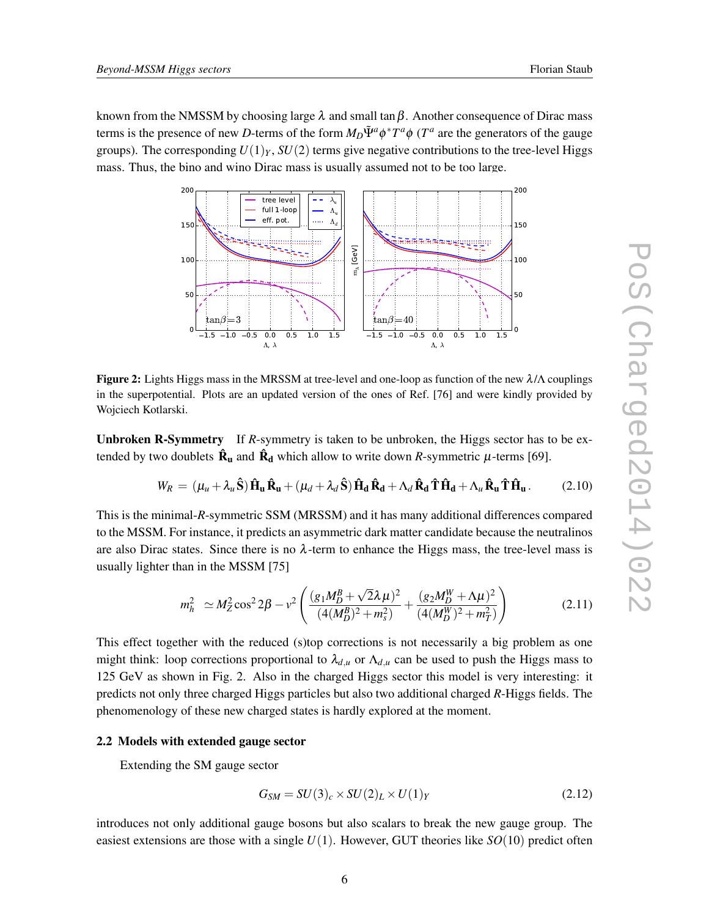known from the NMSSM by choosing large  $\lambda$  and small tan  $\beta$ . Another consequence of Dirac mass terms is the presence of new *D*-terms of the form  $M_D \tilde{\Psi}^a \phi^* T^a \phi$  ( $T^a$  are the generators of the gauge groups). The corresponding  $U(1)_Y$ ,  $SU(2)$  terms give negative contributions to the tree-level Higgs mass. Thus, the bino and wino Dirac mass is usually assumed not to be too large.



**Figure 2:** Lights Higgs mass in the MRSSM at tree-level and one-loop as function of the new  $\lambda/\Lambda$  couplings in the superpotential. Plots are an updated version of the ones of Ref. [76] and were kindly provided by Wojciech Kotlarski.

Unbroken R-Symmetry If *R*-symmetry is taken to be unbroken, the Higgs sector has to be extended by two doublets  $\mathbf{\hat{R}_u}$  and  $\mathbf{\hat{R}_d}$  which allow to write down *R*-symmetric  $\mu$ -terms [69].

$$
W_R = (\mu_u + \lambda_u \hat{\mathbf{S}}) \hat{\mathbf{H}}_\mathbf{u} \hat{\mathbf{R}}_\mathbf{u} + (\mu_d + \lambda_d \hat{\mathbf{S}}) \hat{\mathbf{H}}_\mathbf{d} \hat{\mathbf{R}}_\mathbf{d} + \Lambda_d \hat{\mathbf{R}}_\mathbf{d} \hat{\mathbf{T}} \hat{\mathbf{H}}_\mathbf{d} + \Lambda_u \hat{\mathbf{R}}_\mathbf{u} \hat{\mathbf{T}} \hat{\mathbf{H}}_\mathbf{u}.
$$
 (2.10)

This is the minimal-*R*-symmetric SSM (MRSSM) and it has many additional differences compared to the MSSM. For instance, it predicts an asymmetric dark matter candidate because the neutralinos are also Dirac states. Since there is no  $\lambda$ -term to enhance the Higgs mass, the tree-level mass is usually lighter than in the MSSM [75]

$$
m_h^2 \simeq M_Z^2 \cos^2 2\beta - \nu^2 \left( \frac{(g_1 M_D^B + \sqrt{2\lambda}\mu)^2}{(4(M_D^B)^2 + m_s^2)} + \frac{(g_2 M_D^W + \Lambda \mu)^2}{(4(M_D^W)^2 + m_T^2)} \right)
$$
(2.11)

This effect together with the reduced (s)top corrections is not necessarily a big problem as one might think: loop corrections proportional to  $\lambda_{d,u}$  or  $\Lambda_{d,u}$  can be used to push the Higgs mass to 125 GeV as shown in Fig. 2. Also in the charged Higgs sector this model is very interesting: it predicts not only three charged Higgs particles but also two additional charged *R*-Higgs fields. The phenomenology of these new charged states is hardly explored at the moment.

#### 2.2 Models with extended gauge sector

Extending the SM gauge sector

$$
G_{SM} = SU(3)_c \times SU(2)_L \times U(1)_Y \tag{2.12}
$$

introduces not only additional gauge bosons but also scalars to break the new gauge group. The easiest extensions are those with a single  $U(1)$ . However, GUT theories like  $SO(10)$  predict often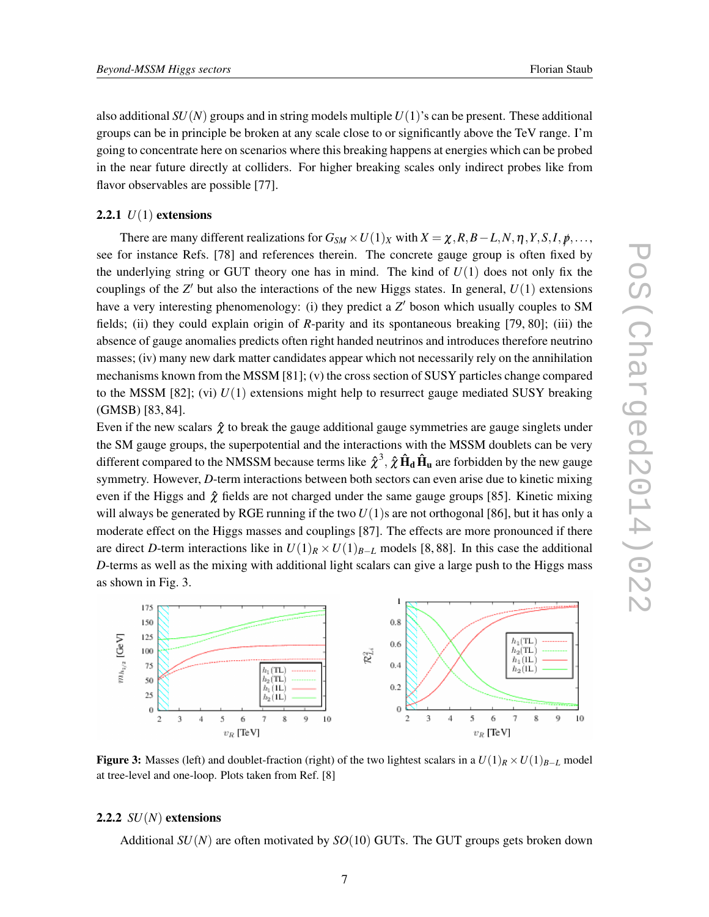also additional  $SU(N)$  groups and in string models multiple  $U(1)$ 's can be present. These additional groups can be in principle be broken at any scale close to or significantly above the TeV range. I'm going to concentrate here on scenarios where this breaking happens at energies which can be probed in the near future directly at colliders. For higher breaking scales only indirect probes like from flavor observables are possible [77].

#### 2.2.1 *U*(1) extensions

There are many different realizations for  $G_{SM} \times U(1)_X$  with  $X = \chi$ ,  $R, B - L, N, \eta, Y, S, I, \psi, \ldots$ , see for instance Refs. [78] and references therein. The concrete gauge group is often fixed by the underlying string or GUT theory one has in mind. The kind of  $U(1)$  does not only fix the couplings of the *Z* ′ but also the interactions of the new Higgs states. In general, *U*(1) extensions have a very interesting phenomenology: (i) they predict a Z' boson which usually couples to SM fields; (ii) they could explain origin of *R*-parity and its spontaneous breaking [79, 80]; (iii) the absence of gauge anomalies predicts often right handed neutrinos and introduces therefore neutrino masses; (iv) many new dark matter candidates appear which not necessarily rely on the annihilation mechanisms known from the MSSM [81]; (v) the cross section of SUSY particles change compared to the MSSM  $[82]$ ; (vi)  $U(1)$  extensions might help to resurrect gauge mediated SUSY breaking (GMSB) [83, 84].

Even if the new scalars  $\hat{\chi}$  to break the gauge additional gauge symmetries are gauge singlets under the SM gauge groups, the superpotential and the interactions with the MSSM doublets can be very different compared to the NMSSM because terms like  $\hat{\chi}^3, \hat{\chi}\, \hat{\bf H}_{\bf d}\, \hat{\bf H}_{\bf u}$  are forbidden by the new gauge symmetry. However, *D*-term interactions between both sectors can even arise due to kinetic mixing even if the Higgs and  $\hat{\chi}$  fields are not charged under the same gauge groups [85]. Kinetic mixing will always be generated by RGE running if the two  $U(1)$ s are not orthogonal [86], but it has only a moderate effect on the Higgs masses and couplings [87]. The effects are more pronounced if there are direct *D*-term interactions like in  $U(1)_R \times U(1)_{B-L}$  models [8,88]. In this case the additional *D*-terms as well as the mixing with additional light scalars can give a large push to the Higgs mass as shown in Fig. 3.



**Figure 3:** Masses (left) and doublet-fraction (right) of the two lightest scalars in a  $U(1)_R \times U(1)_{B-L}$  model at tree-level and one-loop. Plots taken from Ref. [8]

#### 2.2.2 *SU*(*N*) extensions

Additional  $SU(N)$  are often motivated by  $SO(10)$  GUTs. The GUT groups gets broken down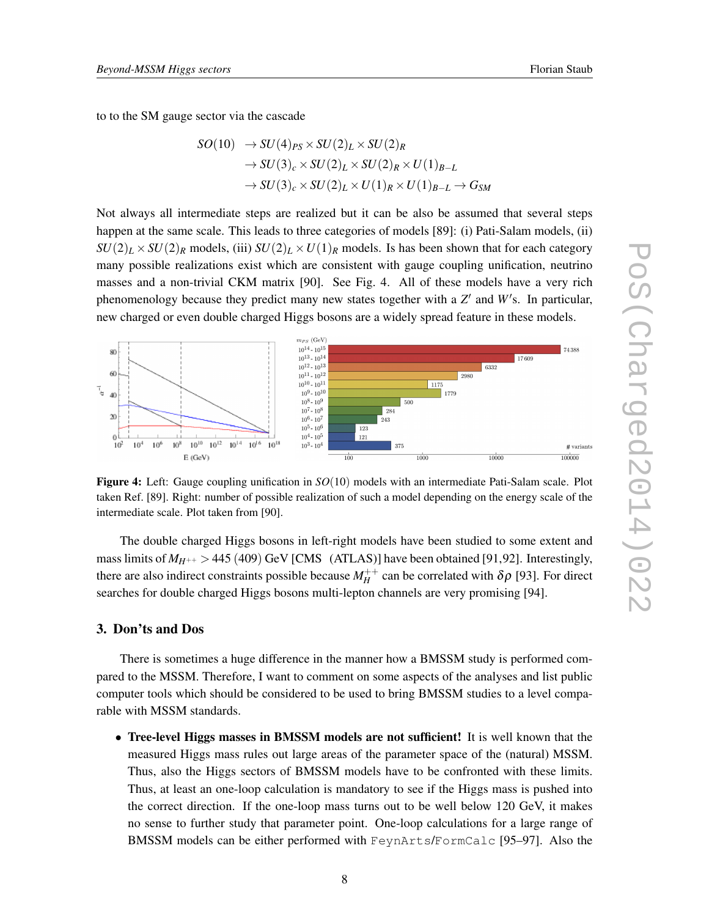to to the SM gauge sector via the cascade

$$
SO(10) \rightarrow SU(4)_{PS} \times SU(2)_{L} \times SU(2)_{R}
$$
  

$$
\rightarrow SU(3)_{c} \times SU(2)_{L} \times SU(2)_{R} \times U(1)_{B-L}
$$
  

$$
\rightarrow SU(3)_{c} \times SU(2)_{L} \times U(1)_{R} \times U(1)_{B-L} \rightarrow G_{SM}
$$

Not always all intermediate steps are realized but it can be also be assumed that several steps happen at the same scale. This leads to three categories of models [89]: (i) Pati-Salam models, (ii)  $SU(2)_L \times SU(2)_R$  models, (iii)  $SU(2)_L \times U(1)_R$  models. Is has been shown that for each category many possible realizations exist which are consistent with gauge coupling unification, neutrino masses and a non-trivial CKM matrix [90]. See Fig. 4. All of these models have a very rich phenomenology because they predict many new states together with a  $Z'$  and  $W'$ s. In particular, new charged or even double charged Higgs bosons are a widely spread feature in these models.



Figure 4: Left: Gauge coupling unification in *SO*(10) models with an intermediate Pati-Salam scale. Plot taken Ref. [89]. Right: number of possible realization of such a model depending on the energy scale of the intermediate scale. Plot taken from [90].

The double charged Higgs bosons in left-right models have been studied to some extent and mass limits of  $M_{H^{++}} > 445 (409)$  GeV [CMS (ATLAS)] have been obtained [91,92]. Interestingly, there are also indirect constraints possible because  $M_H^{++}$  can be correlated with  $\delta \rho$  [93]. For direct searches for double charged Higgs bosons multi-lepton channels are very promising [94].

#### 3. Don'ts and Dos

There is sometimes a huge difference in the manner how a BMSSM study is performed compared to the MSSM. Therefore, I want to comment on some aspects of the analyses and list public computer tools which should be considered to be used to bring BMSSM studies to a level comparable with MSSM standards.

• Tree-level Higgs masses in BMSSM models are not sufficient! It is well known that the measured Higgs mass rules out large areas of the parameter space of the (natural) MSSM. Thus, also the Higgs sectors of BMSSM models have to be confronted with these limits. Thus, at least an one-loop calculation is mandatory to see if the Higgs mass is pushed into the correct direction. If the one-loop mass turns out to be well below 120 GeV, it makes no sense to further study that parameter point. One-loop calculations for a large range of BMSSM models can be either performed with FeynArts/FormCalc [95–97]. Also the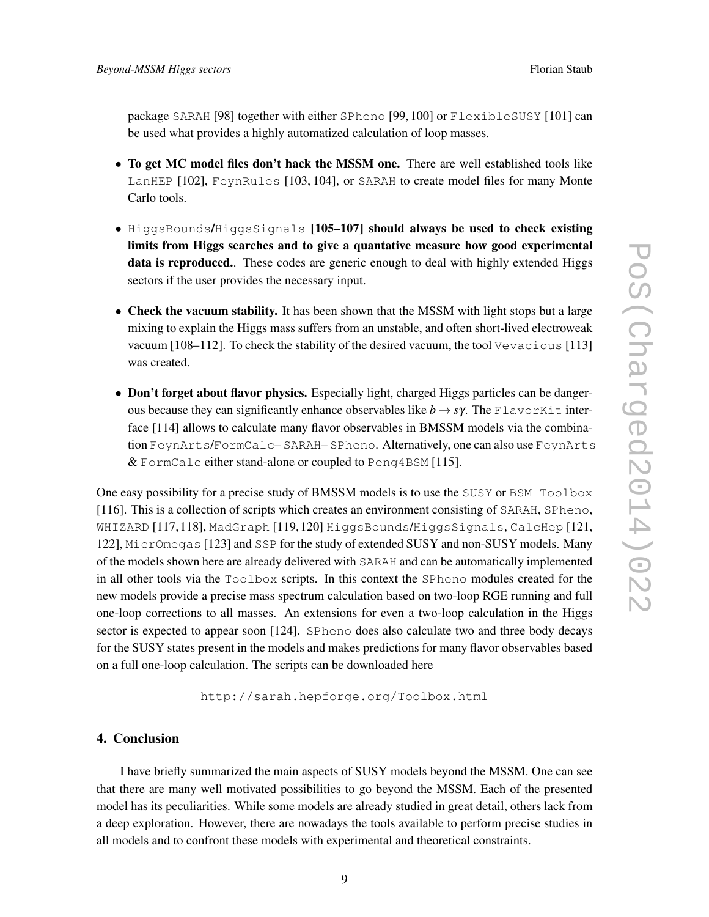package SARAH [98] together with either SPheno [99, 100] or FlexibleSUSY [101] can be used what provides a highly automatized calculation of loop masses.

- To get MC model files don't hack the MSSM one. There are well established tools like LanHEP [102], FeynRules [103, 104], or SARAH to create model files for many Monte Carlo tools.
- HiggsBounds/HiggsSignals [105–107] should always be used to check existing limits from Higgs searches and to give a quantative measure how good experimental data is reproduced.. These codes are generic enough to deal with highly extended Higgs sectors if the user provides the necessary input.
- Check the vacuum stability. It has been shown that the MSSM with light stops but a large mixing to explain the Higgs mass suffers from an unstable, and often short-lived electroweak vacuum [108–112]. To check the stability of the desired vacuum, the tool Vevacious [113] was created.
- Don't forget about flavor physics. Especially light, charged Higgs particles can be dangerous because they can significantly enhance observables like  $b \rightarrow s\gamma$ . The FlavorKit interface [114] allows to calculate many flavor observables in BMSSM models via the combination FeynArts/FormCalc– SARAH– SPheno. Alternatively, one can also use FeynArts & FormCalc either stand-alone or coupled to Peng4BSM [115].

One easy possibility for a precise study of BMSSM models is to use the SUSY or BSM Toolbox [116]. This is a collection of scripts which creates an environment consisting of SARAH, SPheno, WHIZARD [117,118], MadGraph [119,120] HiggsBounds/HiggsSignals, CalcHep [121, 122], MicrOmegas [123] and SSP for the study of extended SUSY and non-SUSY models. Many of the models shown here are already delivered with SARAH and can be automatically implemented in all other tools via the Toolbox scripts. In this context the SPheno modules created for the new models provide a precise mass spectrum calculation based on two-loop RGE running and full one-loop corrections to all masses. An extensions for even a two-loop calculation in the Higgs sector is expected to appear soon [124]. SPheno does also calculate two and three body decays for the SUSY states present in the models and makes predictions for many flavor observables based on a full one-loop calculation. The scripts can be downloaded here

http://sarah.hepforge.org/Toolbox.html

## 4. Conclusion

I have briefly summarized the main aspects of SUSY models beyond the MSSM. One can see that there are many well motivated possibilities to go beyond the MSSM. Each of the presented model has its peculiarities. While some models are already studied in great detail, others lack from a deep exploration. However, there are nowadays the tools available to perform precise studies in all models and to confront these models with experimental and theoretical constraints.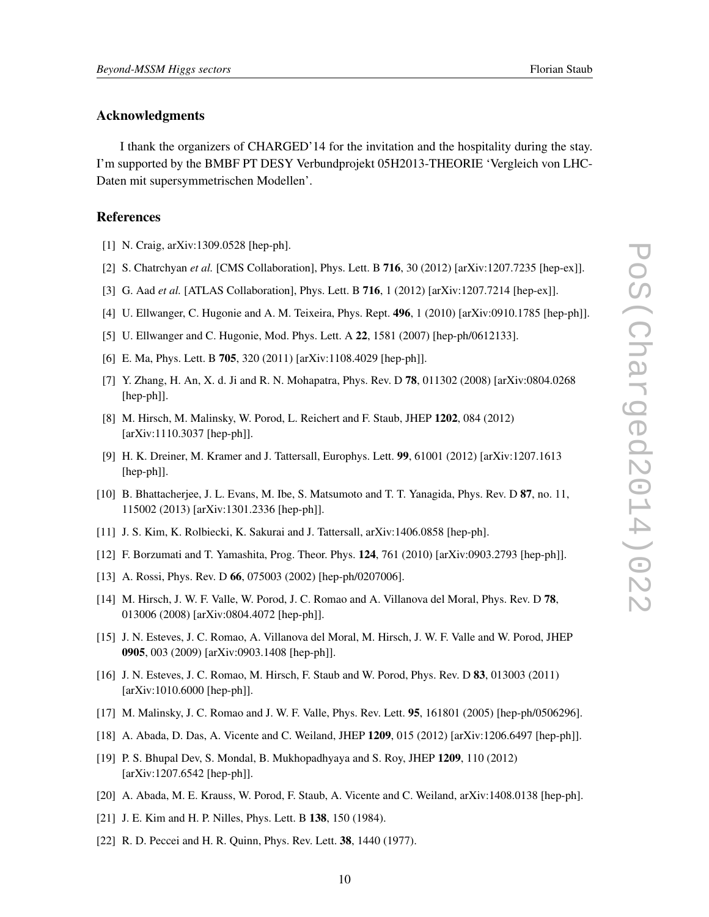#### Acknowledgments

I thank the organizers of CHARGED'14 for the invitation and the hospitality during the stay. I'm supported by the BMBF PT DESY Verbundprojekt 05H2013-THEORIE 'Vergleich von LHC-Daten mit supersymmetrischen Modellen'.

#### **References**

- [1] N. Craig, arXiv:1309.0528 [hep-ph].
- [2] S. Chatrchyan *et al.* [CMS Collaboration], Phys. Lett. B 716, 30 (2012) [arXiv:1207.7235 [hep-ex]].
- [3] G. Aad *et al.* [ATLAS Collaboration], Phys. Lett. B **716**, 1 (2012) [arXiv:1207.7214 [hep-ex]].
- [4] U. Ellwanger, C. Hugonie and A. M. Teixeira, Phys. Rept. 496, 1 (2010) [arXiv:0910.1785 [hep-ph]].
- [5] U. Ellwanger and C. Hugonie, Mod. Phys. Lett. A 22, 1581 (2007) [hep-ph/0612133].
- [6] E. Ma, Phys. Lett. B 705, 320 (2011) [arXiv:1108.4029 [hep-ph]].
- [7] Y. Zhang, H. An, X. d. Ji and R. N. Mohapatra, Phys. Rev. D 78, 011302 (2008) [arXiv:0804.0268 [hep-ph]].
- [8] M. Hirsch, M. Malinsky, W. Porod, L. Reichert and F. Staub, JHEP 1202, 084 (2012) [arXiv:1110.3037 [hep-ph]].
- [9] H. K. Dreiner, M. Kramer and J. Tattersall, Europhys. Lett. 99, 61001 (2012) [arXiv:1207.1613 [hep-ph]].
- [10] B. Bhattacherjee, J. L. Evans, M. Ibe, S. Matsumoto and T. T. Yanagida, Phys. Rev. D 87, no. 11, 115002 (2013) [arXiv:1301.2336 [hep-ph]].
- [11] J. S. Kim, K. Rolbiecki, K. Sakurai and J. Tattersall, arXiv:1406.0858 [hep-ph].
- [12] F. Borzumati and T. Yamashita, Prog. Theor. Phys. 124, 761 (2010) [arXiv:0903.2793 [hep-ph]].
- [13] A. Rossi, Phys. Rev. D 66, 075003 (2002) [hep-ph/0207006].
- [14] M. Hirsch, J. W. F. Valle, W. Porod, J. C. Romao and A. Villanova del Moral, Phys. Rev. D 78, 013006 (2008) [arXiv:0804.4072 [hep-ph]].
- [15] J. N. Esteves, J. C. Romao, A. Villanova del Moral, M. Hirsch, J. W. F. Valle and W. Porod, JHEP 0905, 003 (2009) [arXiv:0903.1408 [hep-ph]].
- [16] J. N. Esteves, J. C. Romao, M. Hirsch, F. Staub and W. Porod, Phys. Rev. D 83, 013003 (2011) [arXiv:1010.6000 [hep-ph]].
- [17] M. Malinsky, J. C. Romao and J. W. F. Valle, Phys. Rev. Lett. 95, 161801 (2005) [hep-ph/0506296].
- [18] A. Abada, D. Das, A. Vicente and C. Weiland, JHEP 1209, 015 (2012) [arXiv:1206.6497 [hep-ph]].
- [19] P. S. Bhupal Dev, S. Mondal, B. Mukhopadhyaya and S. Roy, JHEP 1209, 110 (2012) [arXiv:1207.6542 [hep-ph]].
- [20] A. Abada, M. E. Krauss, W. Porod, F. Staub, A. Vicente and C. Weiland, arXiv:1408.0138 [hep-ph].
- [21] J. E. Kim and H. P. Nilles, Phys. Lett. B 138, 150 (1984).
- [22] R. D. Peccei and H. R. Quinn, Phys. Rev. Lett. 38, 1440 (1977).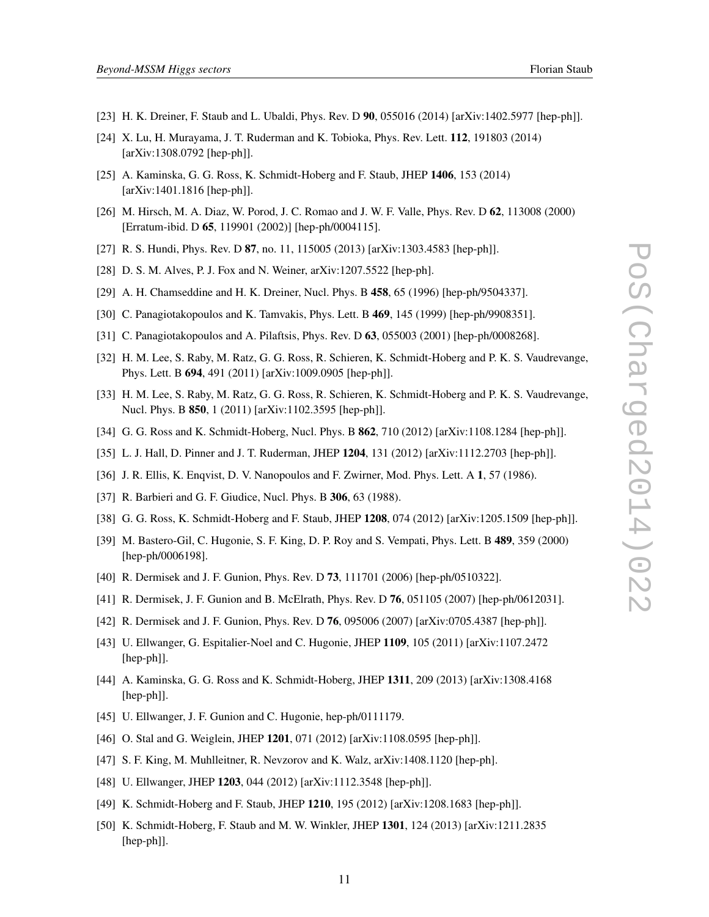- [23] H. K. Dreiner, F. Staub and L. Ubaldi, Phys. Rev. D 90, 055016 (2014) [arXiv:1402.5977 [hep-ph]].
	- [24] X. Lu, H. Murayama, J. T. Ruderman and K. Tobioka, Phys. Rev. Lett. 112, 191803 (2014) [arXiv:1308.0792 [hep-ph]].
- [25] A. Kaminska, G. G. Ross, K. Schmidt-Hoberg and F. Staub, JHEP 1406, 153 (2014) [arXiv:1401.1816 [hep-ph]].
- [26] M. Hirsch, M. A. Diaz, W. Porod, J. C. Romao and J. W. F. Valle, Phys. Rev. D 62, 113008 (2000) [Erratum-ibid. D 65, 119901 (2002)] [hep-ph/0004115].
- [27] R. S. Hundi, Phys. Rev. D 87, no. 11, 115005 (2013) [arXiv:1303.4583 [hep-ph]].
- [28] D. S. M. Alves, P. J. Fox and N. Weiner, arXiv:1207.5522 [hep-ph].
- [29] A. H. Chamseddine and H. K. Dreiner, Nucl. Phys. B 458, 65 (1996) [hep-ph/9504337].
- [30] C. Panagiotakopoulos and K. Tamvakis, Phys. Lett. B 469, 145 (1999) [hep-ph/9908351].
- [31] C. Panagiotakopoulos and A. Pilaftsis, Phys. Rev. D **63**, 055003 (2001) [hep-ph/0008268].
- [32] H. M. Lee, S. Raby, M. Ratz, G. G. Ross, R. Schieren, K. Schmidt-Hoberg and P. K. S. Vaudrevange, Phys. Lett. B 694, 491 (2011) [arXiv:1009.0905 [hep-ph]].
- [33] H. M. Lee, S. Raby, M. Ratz, G. G. Ross, R. Schieren, K. Schmidt-Hoberg and P. K. S. Vaudrevange, Nucl. Phys. B 850, 1 (2011) [arXiv:1102.3595 [hep-ph]].
- [34] G. G. Ross and K. Schmidt-Hoberg, Nucl. Phys. B 862, 710 (2012) [arXiv:1108.1284 [hep-ph]].
- [35] L. J. Hall, D. Pinner and J. T. Ruderman, JHEP 1204, 131 (2012) [arXiv:1112.2703 [hep-ph]].
- [36] J. R. Ellis, K. Enqvist, D. V. Nanopoulos and F. Zwirner, Mod. Phys. Lett. A 1, 57 (1986).
- [37] R. Barbieri and G. F. Giudice, Nucl. Phys. B 306, 63 (1988).
- [38] G. G. Ross, K. Schmidt-Hoberg and F. Staub, JHEP 1208, 074 (2012) [arXiv:1205.1509 [hep-ph]].
- [39] M. Bastero-Gil, C. Hugonie, S. F. King, D. P. Roy and S. Vempati, Phys. Lett. B 489, 359 (2000) [hep-ph/0006198].
- [40] R. Dermisek and J. F. Gunion, Phys. Rev. D 73, 111701 (2006) [hep-ph/0510322].
- [41] R. Dermisek, J. F. Gunion and B. McElrath, Phys. Rev. D 76, 051105 (2007) [hep-ph/0612031].
- [42] R. Dermisek and J. F. Gunion, Phys. Rev. D 76, 095006 (2007) [arXiv:0705.4387 [hep-ph]].
- [43] U. Ellwanger, G. Espitalier-Noel and C. Hugonie, JHEP 1109, 105 (2011) [arXiv:1107.2472 [hep-ph]].
- [44] A. Kaminska, G. G. Ross and K. Schmidt-Hoberg, JHEP 1311, 209 (2013) [arXiv:1308.4168 [hep-ph]].
- [45] U. Ellwanger, J. F. Gunion and C. Hugonie, hep-ph/0111179.
- [46] O. Stal and G. Weiglein, JHEP 1201, 071 (2012) [arXiv:1108.0595 [hep-ph]].
- [47] S. F. King, M. Muhlleitner, R. Nevzorov and K. Walz, arXiv:1408.1120 [hep-ph].
- [48] U. Ellwanger, JHEP 1203, 044 (2012) [arXiv:1112.3548 [hep-ph]].
- [49] K. Schmidt-Hoberg and F. Staub, JHEP 1210, 195 (2012) [arXiv:1208.1683 [hep-ph]].
- [50] K. Schmidt-Hoberg, F. Staub and M. W. Winkler, JHEP 1301, 124 (2013) [arXiv:1211.2835 [hep-ph]].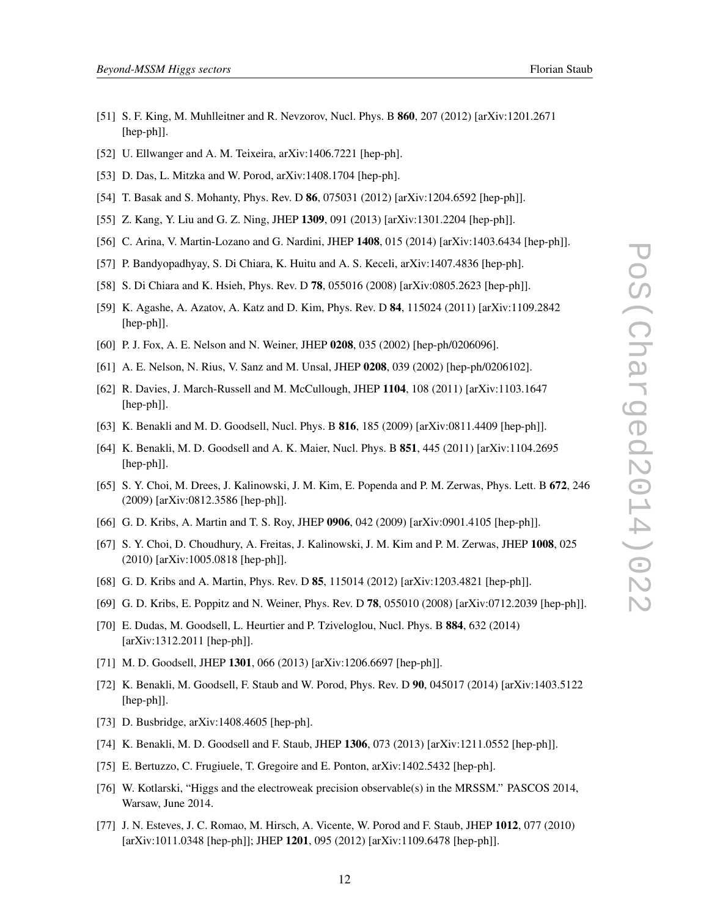- 
- [51] S. F. King, M. Muhlleitner and R. Nevzorov, Nucl. Phys. B **860**, 207 (2012) [arXiv:1201.2671] [hep-ph]].
- [52] U. Ellwanger and A. M. Teixeira, arXiv:1406.7221 [hep-ph].
- [53] D. Das, L. Mitzka and W. Porod, arXiv:1408.1704 [hep-ph].
- [54] T. Basak and S. Mohanty, Phys. Rev. D 86, 075031 (2012) [arXiv:1204.6592 [hep-ph]].
- [55] Z. Kang, Y. Liu and G. Z. Ning, JHEP 1309, 091 (2013) [arXiv:1301.2204 [hep-ph]].
- [56] C. Arina, V. Martin-Lozano and G. Nardini, JHEP 1408, 015 (2014) [arXiv:1403.6434 [hep-ph]].
- [57] P. Bandyopadhyay, S. Di Chiara, K. Huitu and A. S. Keceli, arXiv:1407.4836 [hep-ph].
- [58] S. Di Chiara and K. Hsieh, Phys. Rev. D 78, 055016 (2008) [arXiv:0805.2623 [hep-ph]].
- [59] K. Agashe, A. Azatov, A. Katz and D. Kim, Phys. Rev. D 84, 115024 (2011) [arXiv:1109.2842 [hep-ph]].
- [60] P. J. Fox, A. E. Nelson and N. Weiner, JHEP 0208, 035 (2002) [hep-ph/0206096].
- [61] A. E. Nelson, N. Rius, V. Sanz and M. Unsal, JHEP 0208, 039 (2002) [hep-ph/0206102].
- [62] R. Davies, J. March-Russell and M. McCullough, JHEP 1104, 108 (2011) [arXiv:1103.1647 [hep-ph]].
- [63] K. Benakli and M. D. Goodsell, Nucl. Phys. B **816**, 185 (2009) [arXiv:0811.4409 [hep-ph]].
- [64] K. Benakli, M. D. Goodsell and A. K. Maier, Nucl. Phys. B 851, 445 (2011) [arXiv:1104.2695 [hep-ph]].
- [65] S. Y. Choi, M. Drees, J. Kalinowski, J. M. Kim, E. Popenda and P. M. Zerwas, Phys. Lett. B 672, 246 (2009) [arXiv:0812.3586 [hep-ph]].
- [66] G. D. Kribs, A. Martin and T. S. Roy, JHEP 0906, 042 (2009) [arXiv:0901.4105 [hep-ph]].
- [67] S. Y. Choi, D. Choudhury, A. Freitas, J. Kalinowski, J. M. Kim and P. M. Zerwas, JHEP 1008, 025 (2010) [arXiv:1005.0818 [hep-ph]].
- [68] G. D. Kribs and A. Martin, Phys. Rev. D 85, 115014 (2012) [arXiv:1203.4821 [hep-ph]].
- [69] G. D. Kribs, E. Poppitz and N. Weiner, Phys. Rev. D 78, 055010 (2008) [arXiv:0712.2039 [hep-ph]].
- [70] E. Dudas, M. Goodsell, L. Heurtier and P. Tziveloglou, Nucl. Phys. B 884, 632 (2014) [arXiv:1312.2011 [hep-ph]].
- [71] M. D. Goodsell, JHEP 1301, 066 (2013) [arXiv:1206.6697 [hep-ph]].
- [72] K. Benakli, M. Goodsell, F. Staub and W. Porod, Phys. Rev. D 90, 045017 (2014) [arXiv:1403.5122 [hep-ph]].
- [73] D. Busbridge, arXiv:1408.4605 [hep-ph].
- [74] K. Benakli, M. D. Goodsell and F. Staub, JHEP 1306, 073 (2013) [arXiv:1211.0552 [hep-ph]].
- [75] E. Bertuzzo, C. Frugiuele, T. Gregoire and E. Ponton, arXiv:1402.5432 [hep-ph].
- [76] W. Kotlarski, "Higgs and the electroweak precision observable(s) in the MRSSM." PASCOS 2014, Warsaw, June 2014.
- [77] J. N. Esteves, J. C. Romao, M. Hirsch, A. Vicente, W. Porod and F. Staub, JHEP 1012, 077 (2010) [arXiv:1011.0348 [hep-ph]]; JHEP 1201, 095 (2012) [arXiv:1109.6478 [hep-ph]].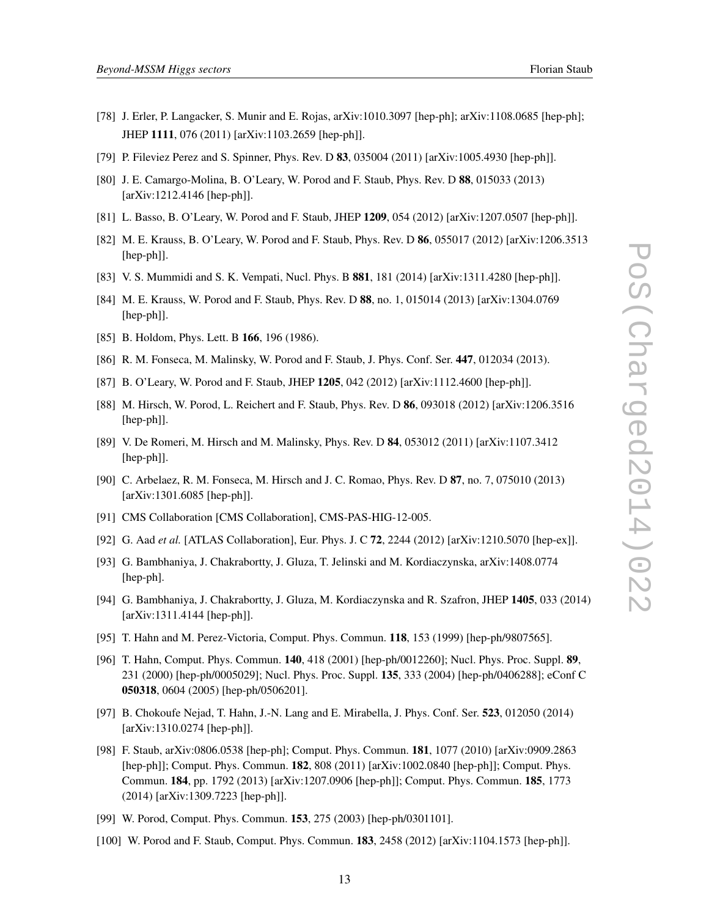- [78] J. Erler, P. Langacker, S. Munir and E. Rojas, arXiv:1010.3097 [hep-ph]; arXiv:1108.0685 [hep-ph]; JHEP 1111, 076 (2011) [arXiv:1103.2659 [hep-ph]].
- [79] P. Fileviez Perez and S. Spinner, Phys. Rev. D 83, 035004 (2011) [arXiv:1005.4930 [hep-ph]].
- [80] J. E. Camargo-Molina, B. O'Leary, W. Porod and F. Staub, Phys. Rev. D 88, 015033 (2013) [arXiv:1212.4146 [hep-ph]].
- [81] L. Basso, B. O'Leary, W. Porod and F. Staub, JHEP 1209, 054 (2012) [arXiv:1207.0507 [hep-ph]].
- [82] M. E. Krauss, B. O'Leary, W. Porod and F. Staub, Phys. Rev. D 86, 055017 (2012) [arXiv:1206.3513 [hep-ph]].
- [83] V. S. Mummidi and S. K. Vempati, Nucl. Phys. B 881, 181 (2014) [arXiv:1311.4280 [hep-ph]].
- [84] M. E. Krauss, W. Porod and F. Staub, Phys. Rev. D 88, no. 1, 015014 (2013) [arXiv:1304.0769 [hep-ph]].
- [85] B. Holdom, Phys. Lett. B 166, 196 (1986).
- [86] R. M. Fonseca, M. Malinsky, W. Porod and F. Staub, J. Phys. Conf. Ser. 447, 012034 (2013).
- [87] B. O'Leary, W. Porod and F. Staub, JHEP 1205, 042 (2012) [arXiv:1112.4600 [hep-ph]].
- [88] M. Hirsch, W. Porod, L. Reichert and F. Staub, Phys. Rev. D 86, 093018 (2012) [arXiv:1206.3516 [hep-ph]].
- [89] V. De Romeri, M. Hirsch and M. Malinsky, Phys. Rev. D 84, 053012 (2011) [arXiv:1107.3412 [hep-ph]].
- [90] C. Arbelaez, R. M. Fonseca, M. Hirsch and J. C. Romao, Phys. Rev. D 87, no. 7, 075010 (2013) [arXiv:1301.6085 [hep-ph]].
- [91] CMS Collaboration [CMS Collaboration], CMS-PAS-HIG-12-005.
- [92] G. Aad *et al.* [ATLAS Collaboration], Eur. Phys. J. C 72, 2244 (2012) [arXiv:1210.5070 [hep-ex]].
- [93] G. Bambhaniya, J. Chakrabortty, J. Gluza, T. Jelinski and M. Kordiaczynska, arXiv:1408.0774 [hep-ph].
- [94] G. Bambhaniya, J. Chakrabortty, J. Gluza, M. Kordiaczynska and R. Szafron, JHEP 1405, 033 (2014) [arXiv:1311.4144 [hep-ph]].
- [95] T. Hahn and M. Perez-Victoria, Comput. Phys. Commun. 118, 153 (1999) [hep-ph/9807565].
- [96] T. Hahn, Comput. Phys. Commun. 140, 418 (2001) [hep-ph/0012260]; Nucl. Phys. Proc. Suppl. 89, 231 (2000) [hep-ph/0005029]; Nucl. Phys. Proc. Suppl. 135, 333 (2004) [hep-ph/0406288]; eConf C 050318, 0604 (2005) [hep-ph/0506201].
- [97] B. Chokoufe Nejad, T. Hahn, J.-N. Lang and E. Mirabella, J. Phys. Conf. Ser. 523, 012050 (2014) [arXiv:1310.0274 [hep-ph]].
- [98] F. Staub, arXiv:0806.0538 [hep-ph]; Comput. Phys. Commun. 181, 1077 (2010) [arXiv:0909.2863 [hep-ph]]; Comput. Phys. Commun. 182, 808 (2011) [arXiv:1002.0840 [hep-ph]]; Comput. Phys. Commun. 184, pp. 1792 (2013) [arXiv:1207.0906 [hep-ph]]; Comput. Phys. Commun. 185, 1773 (2014) [arXiv:1309.7223 [hep-ph]].
- [99] W. Porod, Comput. Phys. Commun. 153, 275 (2003) [hep-ph/0301101].
- [100] W. Porod and F. Staub, Comput. Phys. Commun. **183**, 2458 (2012) [arXiv:1104.1573 [hep-ph]].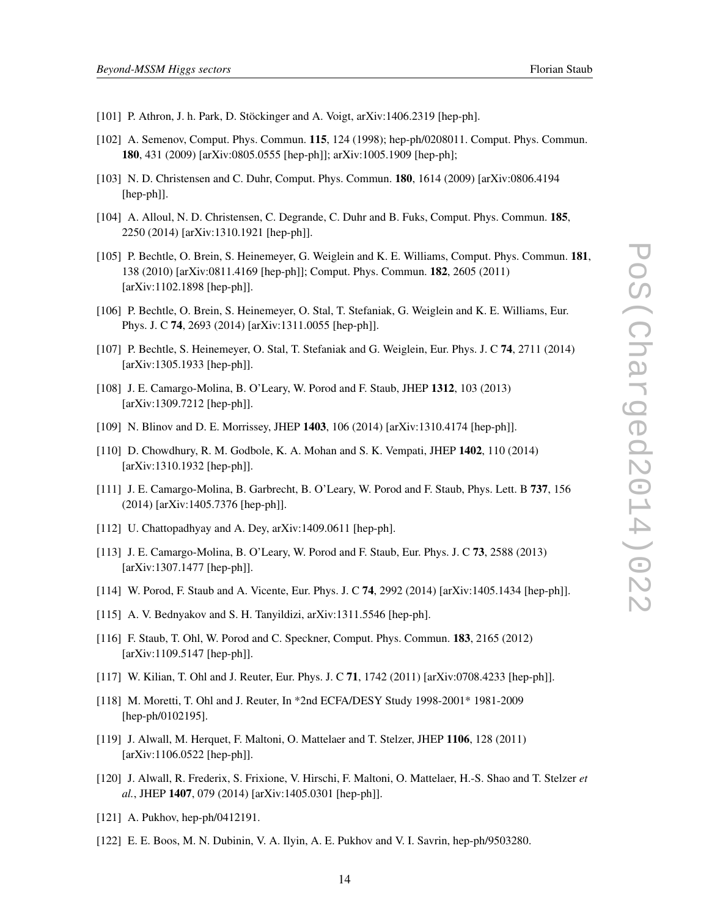- [101] P. Athron, J. h. Park, D. Stöckinger and A. Voigt, arXiv:1406.2319 [hep-ph].
- [102] A. Semenov, Comput. Phys. Commun. **115**, 124 (1998); hep-ph/0208011. Comput. Phys. Commun. 180, 431 (2009) [arXiv:0805.0555 [hep-ph]]; arXiv:1005.1909 [hep-ph];
- [103] N. D. Christensen and C. Duhr, Comput. Phys. Commun. 180, 1614 (2009) [arXiv:0806.4194 [hep-ph]].
- [104] A. Alloul, N. D. Christensen, C. Degrande, C. Duhr and B. Fuks, Comput. Phys. Commun. 185, 2250 (2014) [arXiv:1310.1921 [hep-ph]].
- [105] P. Bechtle, O. Brein, S. Heinemeyer, G. Weiglein and K. E. Williams, Comput. Phys. Commun. 181, 138 (2010) [arXiv:0811.4169 [hep-ph]]; Comput. Phys. Commun. 182, 2605 (2011) [arXiv:1102.1898 [hep-ph]].
- [106] P. Bechtle, O. Brein, S. Heinemeyer, O. Stal, T. Stefaniak, G. Weiglein and K. E. Williams, Eur. Phys. J. C 74, 2693 (2014) [arXiv:1311.0055 [hep-ph]].
- [107] P. Bechtle, S. Heinemeyer, O. Stal, T. Stefaniak and G. Weiglein, Eur. Phys. J. C 74, 2711 (2014) [arXiv:1305.1933 [hep-ph]].
- [108] J. E. Camargo-Molina, B. O'Leary, W. Porod and F. Staub, JHEP 1312, 103 (2013) [arXiv:1309.7212 [hep-ph]].
- [109] N. Blinov and D. E. Morrissey, JHEP 1403, 106 (2014) [arXiv:1310.4174 [hep-ph]].
- [110] D. Chowdhury, R. M. Godbole, K. A. Mohan and S. K. Vempati, JHEP 1402, 110 (2014) [arXiv:1310.1932 [hep-ph]].
- [111] J. E. Camargo-Molina, B. Garbrecht, B. O'Leary, W. Porod and F. Staub, Phys. Lett. B 737, 156 (2014) [arXiv:1405.7376 [hep-ph]].
- [112] U. Chattopadhyay and A. Dey, arXiv:1409.0611 [hep-ph].
- [113] J. E. Camargo-Molina, B. O'Leary, W. Porod and F. Staub, Eur. Phys. J. C 73, 2588 (2013) [arXiv:1307.1477 [hep-ph]].
- [114] W. Porod, F. Staub and A. Vicente, Eur. Phys. J. C 74, 2992 (2014) [arXiv:1405.1434 [hep-ph]].
- [115] A. V. Bednyakov and S. H. Tanyildizi, arXiv:1311.5546 [hep-ph].
- [116] F. Staub, T. Ohl, W. Porod and C. Speckner, Comput. Phys. Commun. 183, 2165 (2012) [arXiv:1109.5147 [hep-ph]].
- [117] W. Kilian, T. Ohl and J. Reuter, Eur. Phys. J. C 71, 1742 (2011) [arXiv:0708.4233 [hep-ph]].
- [118] M. Moretti, T. Ohl and J. Reuter, In \*2nd ECFA/DESY Study 1998-2001\* 1981-2009 [hep-ph/0102195].
- [119] J. Alwall, M. Herquet, F. Maltoni, O. Mattelaer and T. Stelzer, JHEP 1106, 128 (2011) [arXiv:1106.0522 [hep-ph]].
- [120] J. Alwall, R. Frederix, S. Frixione, V. Hirschi, F. Maltoni, O. Mattelaer, H.-S. Shao and T. Stelzer *et al.*, JHEP 1407, 079 (2014) [arXiv:1405.0301 [hep-ph]].
- [121] A. Pukhov, hep-ph/0412191.
- [122] E. E. Boos, M. N. Dubinin, V. A. Ilyin, A. E. Pukhov and V. I. Savrin, hep-ph/9503280.